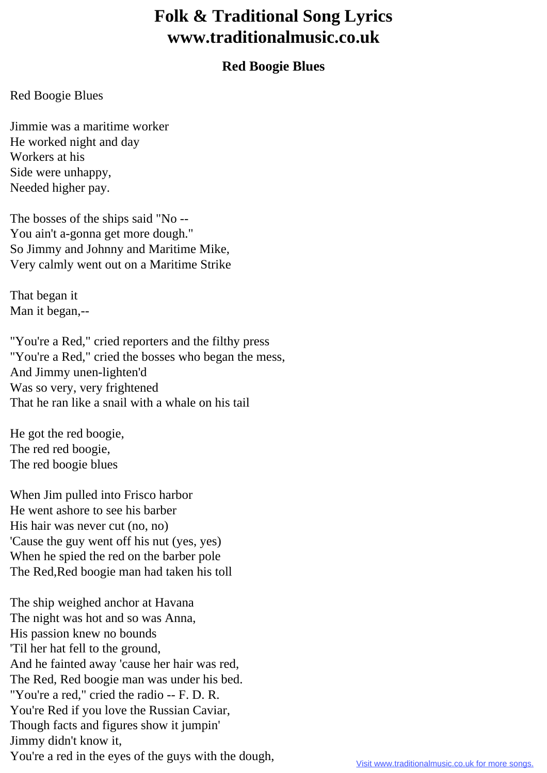## **Folk & Traditional Song Lyrics www.traditionalmusic.co.uk**

## **Red Boogie Blues**

## Red Boogie Blues

Jimmie was a maritime worker He worked night and day Workers at his Side were unhappy, Needed higher pay.

The bosses of the ships said "No -- You ain't a-gonna get more dough." So Jimmy and Johnny and Maritime Mike, Very calmly went out on a Maritime Strike

That began it Man it began,--

"You're a Red," cried reporters and the filthy press "You're a Red," cried the bosses who began the mess, And Jimmy unen-lighten'd Was so very, very frightened That he ran like a snail with a whale on his tail

He got the red boogie, The red red boogie, The red boogie blues

When Jim pulled into Frisco harbor He went ashore to see his barber His hair was never cut (no, no) 'Cause the guy went off his nut (yes, yes) When he spied the red on the barber pole The Red,Red boogie man had taken his toll

The ship weighed anchor at Havana The night was hot and so was Anna, His passion knew no bounds 'Til her hat fell to the ground, And he fainted away 'cause her hair was red, The Red, Red boogie man was under his bed. "You're a red," cried the radio -- F. D. R. You're Red if you love the Russian Caviar, Though facts and figures show it jumpin' Jimmy didn't know it, You're a red in the eyes of the guys with the dough,